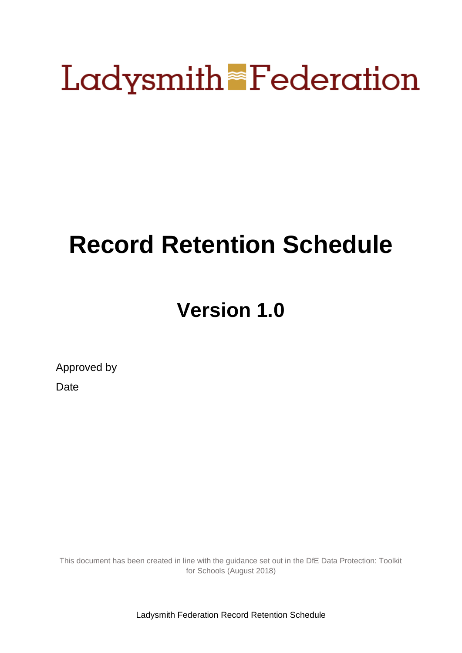# **Ladysmith Federation**

# **Record Retention Schedule**

# **Version 1.0**

Approved by

**Date** 

This document has been created in line with the guidance set out in the DfE Data Protection: Toolkit for Schools (August 2018)

Ladysmith Federation Record Retention Schedule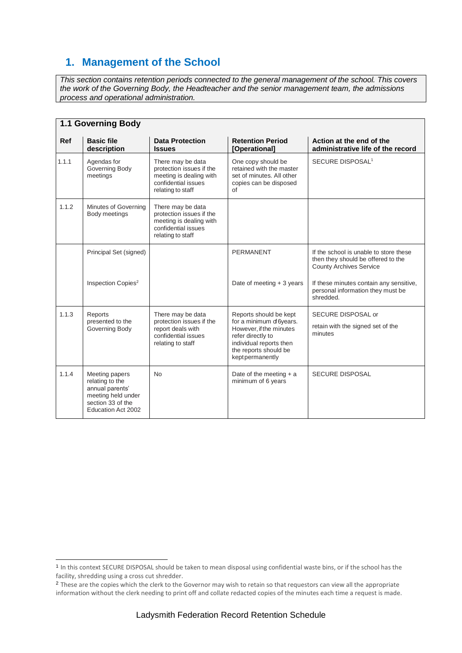### **1. Management of the School**

*This section contains retention periods connected to the general management of the school. This covers the work of the Governing Body, the Headteacher and the senior management team, the admissions process and operational administration.*

|            | 1.1 Governing Body                                                                                                    |                                                                                                                      |                                                                                                                                                                           |                                                                                                                |  |
|------------|-----------------------------------------------------------------------------------------------------------------------|----------------------------------------------------------------------------------------------------------------------|---------------------------------------------------------------------------------------------------------------------------------------------------------------------------|----------------------------------------------------------------------------------------------------------------|--|
| <b>Ref</b> | <b>Basic file</b><br>description                                                                                      | <b>Data Protection</b><br><b>Issues</b>                                                                              | <b>Retention Period</b><br>[Operational]                                                                                                                                  | Action at the end of the<br>administrative life of the record                                                  |  |
| 1.1.1      | Agendas for<br>Governing Body<br>meetings                                                                             | There may be data<br>protection issues if the<br>meeting is dealing with<br>confidential issues<br>relating to staff | One copy should be<br>retained with the master<br>set of minutes. All other<br>copies can be disposed<br>of                                                               | SECURE DISPOSAL <sup>1</sup>                                                                                   |  |
| 1.1.2      | Minutes of Governing<br>Body meetings                                                                                 | There may be data<br>protection issues if the<br>meeting is dealing with<br>confidential issues<br>relating to staff |                                                                                                                                                                           |                                                                                                                |  |
|            | Principal Set (signed)                                                                                                |                                                                                                                      | <b>PERMANENT</b>                                                                                                                                                          | If the school is unable to store these<br>then they should be offered to the<br><b>County Archives Service</b> |  |
|            | Inspection Copies <sup>2</sup>                                                                                        |                                                                                                                      | Date of meeting $+3$ years                                                                                                                                                | If these minutes contain any sensitive,<br>personal information they must be<br>shredded.                      |  |
| 1.1.3      | Reports<br>presented to the<br>Governing Body                                                                         | There may be data<br>protection issues if the<br>report deals with<br>confidential issues<br>relating to staff       | Reports should be kept<br>for a minimum of 6years.<br>However, if the minutes<br>refer directly to<br>individual reports then<br>the reports should be<br>keptpermanently | SECURE DISPOSAL or<br>retain with the signed set of the<br>minutes                                             |  |
| 1.1.4      | Meeting papers<br>relating to the<br>annual parents'<br>meeting held under<br>section 33 of the<br>Education Act 2002 | <b>No</b>                                                                                                            | Date of the meeting $+$ a<br>minimum of 6 years                                                                                                                           | <b>SECURE DISPOSAL</b>                                                                                         |  |

 $\overline{a}$ 

<sup>1</sup> In this context SECURE DISPOSAL should be taken to mean disposal using confidential waste bins, or if the school has the facility, shredding using a cross cut shredder.

<sup>&</sup>lt;sup>2</sup> These are the copies which the clerk to the Governor may wish to retain so that requestors can view all the appropriate information without the clerk needing to print off and collate redacted copies of the minutes each time a request is made.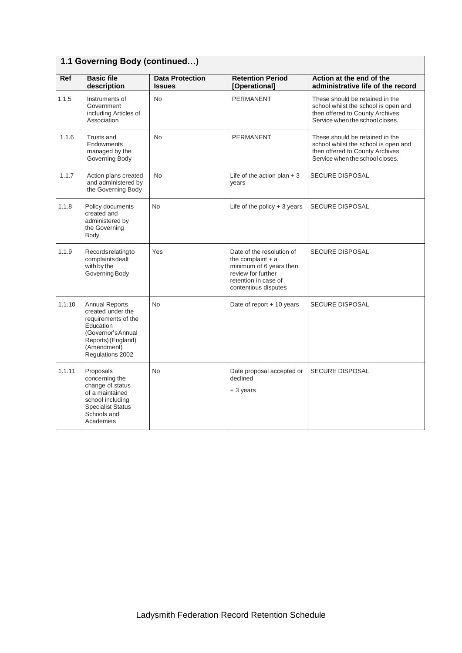|            | 1.1 Governing Body (continued)                                                                                                                                |                                         |                                                                                                                                                   |                                                                                                                                               |  |
|------------|---------------------------------------------------------------------------------------------------------------------------------------------------------------|-----------------------------------------|---------------------------------------------------------------------------------------------------------------------------------------------------|-----------------------------------------------------------------------------------------------------------------------------------------------|--|
| <b>Ref</b> | <b>Basic file</b><br>description                                                                                                                              | <b>Data Protection</b><br><b>Issues</b> | <b>Retention Period</b><br>[Operational]                                                                                                          | Action at the end of the<br>administrative life of the record                                                                                 |  |
| 1.1.5      | Instruments of<br>Government<br>including Articles of<br>Association                                                                                          | <b>No</b>                               | <b>PERMANENT</b>                                                                                                                                  | These should be retained in the<br>school whilst the school is open and<br>then offered to County Archives<br>Service when the school closes. |  |
| 1.1.6      | Trusts and<br>Endowments<br>managed by the<br>Governing Body                                                                                                  | <b>No</b>                               | <b>PERMANENT</b>                                                                                                                                  | These should be retained in the<br>school whilst the school is open and<br>then offered to County Archives<br>Service when the school closes. |  |
| 1.1.7      | Action plans created<br>and administered by<br>the Governing Body                                                                                             | <b>No</b>                               | Life of the action plan $+3$<br>years                                                                                                             | <b>SECURE DISPOSAL</b>                                                                                                                        |  |
| 1.1.8      | Policy documents<br>created and<br>administered by<br>the Governing<br>Body                                                                                   | N <sub>o</sub>                          | Life of the policy $+3$ years                                                                                                                     | <b>SECURE DISPOSAL</b>                                                                                                                        |  |
| 1.1.9      | Recordsrelatingto<br>complaintsdealt<br>with by the<br>Governing Body                                                                                         | Yes                                     | Date of the resolution of<br>the complaint $+$ a<br>minimum of 6 years then<br>review for further<br>retention in case of<br>contentious disputes | <b>SECURE DISPOSAL</b>                                                                                                                        |  |
| 1.1.10     | <b>Annual Reports</b><br>created under the<br>requirements of the<br>Education<br>(Governor's Annual<br>Reports) (England)<br>(Amendment)<br>Regulations 2002 | <b>No</b>                               | Date of report + 10 years                                                                                                                         | <b>SECURE DISPOSAL</b>                                                                                                                        |  |
| 1.1.11     | Proposals<br>concerning the<br>change of status<br>of a maintained<br>school including<br><b>Specialist Status</b><br>Schools and<br>Academies                | No                                      | Date proposal accepted or<br>declined<br>+ 3 years                                                                                                | <b>SECURE DISPOSAL</b>                                                                                                                        |  |

 $\overline{\phantom{a}}$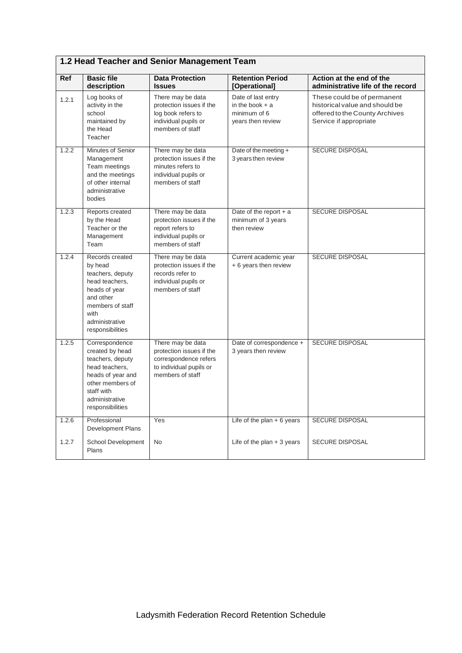|       | <b>EXTIGAT LOGATION AND OCTIVE MANAGE</b>                                                                                                                            |                                                                                                                       |                                                                              |                                                                                                                           |  |
|-------|----------------------------------------------------------------------------------------------------------------------------------------------------------------------|-----------------------------------------------------------------------------------------------------------------------|------------------------------------------------------------------------------|---------------------------------------------------------------------------------------------------------------------------|--|
| Ref   | <b>Basic file</b><br>description                                                                                                                                     | <b>Data Protection</b><br><b>Issues</b>                                                                               | <b>Retention Period</b><br>[Operational]                                     | Action at the end of the<br>administrative life of the record                                                             |  |
| 1.2.1 | Log books of<br>activity in the<br>school<br>maintained by<br>the Head<br>Teacher                                                                                    | There may be data<br>protection issues if the<br>log book refers to<br>individual pupils or<br>members of staff       | Date of last entry<br>in the book $+$ a<br>minimum of 6<br>years then review | These could be of permanent<br>historical value and should be<br>offered to the County Archives<br>Service if appropriate |  |
| 1.2.2 | Minutes of Senior<br>Management<br>Team meetings<br>and the meetings<br>of other internal<br>administrative<br>bodies                                                | There may be data<br>protection issues if the<br>minutes refers to<br>individual pupils or<br>members of staff        | Date of the meeting +<br>3 years then review                                 | SECURE DISPOSAL                                                                                                           |  |
| 1.2.3 | Reports created<br>by the Head<br>Teacher or the<br>Management<br>Team                                                                                               | There may be data<br>protection issues if the<br>report refers to<br>individual pupils or<br>members of staff         | Date of the report $+$ a<br>minimum of 3 years<br>then review                | <b>SECURE DISPOSAL</b>                                                                                                    |  |
| 1.2.4 | Records created<br>by head<br>teachers, deputy<br>head teachers,<br>heads of year<br>and other<br>members of staff<br>with<br>administrative<br>responsibilities     | There may be data<br>protection issues if the<br>records refer to<br>individual pupils or<br>members of staff         | Current academic year<br>+ 6 years then review                               | <b>SECURE DISPOSAL</b>                                                                                                    |  |
| 1.2.5 | Correspondence<br>created by head<br>teachers, deputy<br>head teachers,<br>heads of year and<br>other members of<br>staff with<br>administrative<br>responsibilities | There may be data<br>protection issues if the<br>correspondence refers<br>to individual pupils or<br>members of staff | Date of correspondence +<br>3 years then review                              | <b>SECURE DISPOSAL</b>                                                                                                    |  |
| 1.2.6 | Professional<br>Development Plans                                                                                                                                    | Yes                                                                                                                   | Life of the plan $+6$ years                                                  | SECURE DISPOSAL                                                                                                           |  |
| 1.2.7 | School Development<br>Plans                                                                                                                                          | <b>No</b>                                                                                                             | Life of the plan $+3$ years                                                  | <b>SECURE DISPOSAL</b>                                                                                                    |  |

 $\overline{\phantom{0}}$ 

#### **1.2 Head Teacher and Senior Management Team**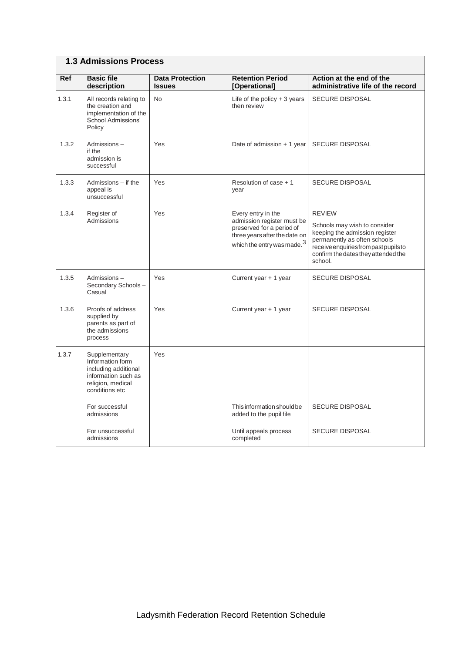### **1.3 Admissions Process**

| Ref   | <b>Basic file</b><br>description                                                                                        | <b>Data Protection</b><br><b>Issues</b> | <b>Retention Period</b><br>[Operational]                                                                                  | Action at the end of the<br>administrative life of the record                                                                                                                             |
|-------|-------------------------------------------------------------------------------------------------------------------------|-----------------------------------------|---------------------------------------------------------------------------------------------------------------------------|-------------------------------------------------------------------------------------------------------------------------------------------------------------------------------------------|
| 1.3.1 | All records relating to<br>the creation and<br>implementation of the<br><b>School Admissions'</b><br>Policy             | <b>No</b>                               | Life of the policy $+3$ years<br>then review                                                                              | <b>SECURE DISPOSAL</b>                                                                                                                                                                    |
| 1.3.2 | Admissions-<br>if the<br>admission is<br>successful                                                                     | Yes                                     | Date of admission + 1 year                                                                                                | <b>SECURE DISPOSAL</b>                                                                                                                                                                    |
| 1.3.3 | Admissions - if the<br>appeal is<br>unsuccessful                                                                        | Yes                                     | Resolution of case + 1<br>year                                                                                            | <b>SECURE DISPOSAL</b>                                                                                                                                                                    |
| 1.3.4 | Register of                                                                                                             | Yes                                     | Every entry in the                                                                                                        | <b>REVIEW</b>                                                                                                                                                                             |
|       | Admissions                                                                                                              |                                         | admission register must be<br>preserved for a period of<br>three years after the date on<br>which the entry was made. $3$ | Schools may wish to consider<br>keeping the admission register<br>permanently as often schools<br>receive enquiries from past pupils to<br>confirm the dates they attended the<br>school. |
| 1.3.5 | Admissions-<br>Secondary Schools-<br>Casual                                                                             | Yes                                     | Current year + 1 year                                                                                                     | <b>SECURE DISPOSAL</b>                                                                                                                                                                    |
| 1.3.6 | Proofs of address<br>supplied by<br>parents as part of<br>the admissions<br>process                                     | Yes                                     | Current year + 1 year                                                                                                     | <b>SECURE DISPOSAL</b>                                                                                                                                                                    |
| 1.3.7 | Supplementary<br>Information form<br>including additional<br>information such as<br>religion, medical<br>conditions etc | Yes                                     |                                                                                                                           |                                                                                                                                                                                           |
|       | For successful<br>admissions                                                                                            |                                         | This information should be<br>added to the pupil file                                                                     | <b>SECURE DISPOSAL</b>                                                                                                                                                                    |
|       | For unsuccessful<br>admissions                                                                                          |                                         | Until appeals process<br>completed                                                                                        | <b>SECURE DISPOSAL</b>                                                                                                                                                                    |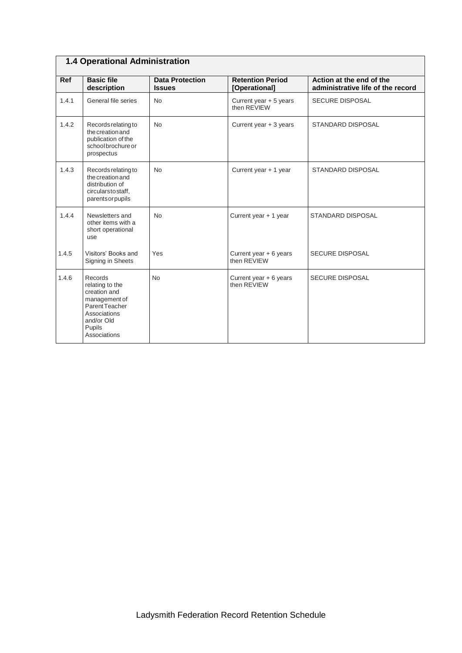### **1.4 Operational Administration**

| <b>Ref</b> | <b>Basic file</b><br>description                                                                                                      | <b>Data Protection</b><br><b>Issues</b> | <b>Retention Period</b><br>[Operational] | Action at the end of the<br>administrative life of the record |
|------------|---------------------------------------------------------------------------------------------------------------------------------------|-----------------------------------------|------------------------------------------|---------------------------------------------------------------|
| 1.4.1      | General file series                                                                                                                   | <b>No</b>                               | Current year + 5 years<br>then REVIEW    | <b>SECURE DISPOSAL</b>                                        |
| 1.4.2      | Records relating to<br>the creation and<br>publication of the<br>school brochure or<br>prospectus                                     | <b>No</b>                               | Current year $+3$ years                  | <b>STANDARD DISPOSAL</b>                                      |
| 1.4.3      | Records relating to<br>the creation and<br>distribution of<br>circularstostaff,<br>parents or pupils                                  | <b>No</b>                               | Current year + 1 year                    | <b>STANDARD DISPOSAL</b>                                      |
| 1.4.4      | Newsletters and<br>other items with a<br>short operational<br>use                                                                     | No                                      | Current year + 1 year                    | <b>STANDARD DISPOSAL</b>                                      |
| 1.4.5      | Visitors' Books and<br>Signing in Sheets                                                                                              | Yes                                     | Current year $+ 6$ years<br>then RFVIFW  | <b>SECURE DISPOSAL</b>                                        |
| 1.4.6      | Records<br>relating to the<br>creation and<br>management of<br>Parent Teacher<br>Associations<br>and/or Old<br>Pupils<br>Associations | <b>No</b>                               | Current year $+ 6$ years<br>then REVIEW  | <b>SECURE DISPOSAL</b>                                        |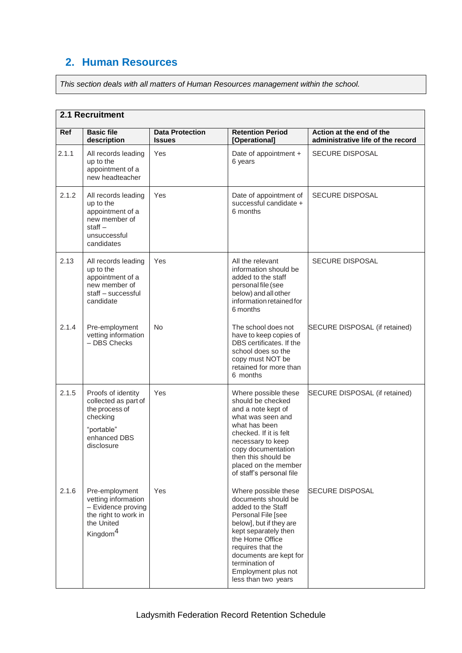# **2. Human Resources**

*This section deals with all matters of Human Resources management within the school.*

#### **2.1 Recruitment**

| <b>Ref</b> | <b>Basic file</b><br>description                                                                                          | <b>Data Protection</b><br><b>Issues</b> | <b>Retention Period</b><br>[Operational]                                                                                                                                                                                                                                     | Action at the end of the<br>administrative life of the record |
|------------|---------------------------------------------------------------------------------------------------------------------------|-----------------------------------------|------------------------------------------------------------------------------------------------------------------------------------------------------------------------------------------------------------------------------------------------------------------------------|---------------------------------------------------------------|
| 2.1.1      | All records leading<br>up to the<br>appointment of a<br>new headteacher                                                   | Yes                                     | Date of appointment +<br>6 years                                                                                                                                                                                                                                             | <b>SECURE DISPOSAL</b>                                        |
| 2.1.2      | All records leading<br>up to the<br>appointment of a<br>new member of<br>$stat -$<br>unsuccessful<br>candidates           | Yes                                     | Date of appointment of<br>successful candidate +<br>6 months                                                                                                                                                                                                                 | <b>SECURE DISPOSAL</b>                                        |
| 2.13       | All records leading<br>up to the<br>appointment of a<br>new member of<br>staff - successful<br>candidate                  | Yes                                     | All the relevant<br>information should be<br>added to the staff<br>personal file (see<br>below) and all other<br>information retained for<br>6 months                                                                                                                        | <b>SECURE DISPOSAL</b>                                        |
| 2.1.4      | Pre-employment<br>vetting information<br>$-$ DBS Checks                                                                   | <b>No</b>                               | The school does not<br>have to keep copies of<br>DBS certificates. If the<br>school does so the<br>copy must NOT be<br>retained for more than<br>6 months                                                                                                                    | SECURE DISPOSAL (if retained)                                 |
| 2.1.5      | Proofs of identity<br>collected as part of<br>the process of<br>checking<br>"portable"<br>enhanced DBS<br>disclosure      | Yes                                     | Where possible these<br>should be checked<br>and a note kept of<br>what was seen and<br>what has been<br>checked. If it is felt<br>necessary to keep<br>copy documentation<br>then this should be<br>placed on the member<br>of staff's personal file                        | SECURE DISPOSAL (if retained)                                 |
| 2.1.6      | Pre-employment<br>vetting information<br>- Evidence proving<br>the right to work in<br>the United<br>Kingdom <sup>4</sup> | Yes                                     | Where possible these<br>documents should be<br>added to the Staff<br>Personal File [see<br>below], but if they are<br>kept separately then<br>the Home Office<br>requires that the<br>documents are kept for<br>termination of<br>Employment plus not<br>less than two years | <b>SECURE DISPOSAL</b>                                        |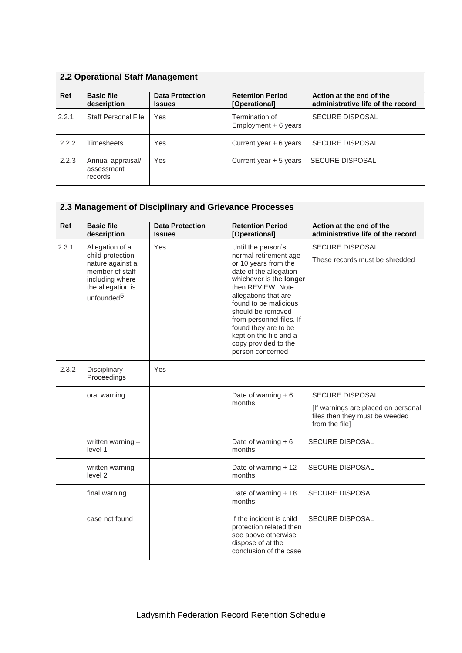| 2.2 Operational Staff Management |                                            |                                         |                                          |                                                               |
|----------------------------------|--------------------------------------------|-----------------------------------------|------------------------------------------|---------------------------------------------------------------|
| Ref                              | <b>Basic file</b><br>description           | <b>Data Protection</b><br><b>Issues</b> | <b>Retention Period</b><br>[Operational] | Action at the end of the<br>administrative life of the record |
| 2.2.1                            | <b>Staff Personal File</b>                 | Yes                                     | Termination of<br>Employment + 6 years   | SECURE DISPOSAL                                               |
| 2.2.2                            | <b>Timesheets</b>                          | Yes                                     | Current year $+ 6$ years                 | <b>SECURE DISPOSAL</b>                                        |
| 2.2.3                            | Annual appraisal/<br>assessment<br>records | Yes                                     | Current year $+5$ years                  | <b>SECURE DISPOSAL</b>                                        |

### **2.3 Management of Disciplinary and Grievance Processes**

| Ref   | <b>Basic file</b><br>description                                                                                                             | <b>Data Protection</b><br><b>Issues</b> | <b>Retention Period</b><br>[Operational]                                                                                                                                                                                                                                                                                                      | Action at the end of the<br>administrative life of the record                                                     |
|-------|----------------------------------------------------------------------------------------------------------------------------------------------|-----------------------------------------|-----------------------------------------------------------------------------------------------------------------------------------------------------------------------------------------------------------------------------------------------------------------------------------------------------------------------------------------------|-------------------------------------------------------------------------------------------------------------------|
| 2.3.1 | Allegation of a<br>child protection<br>nature against a<br>member of staff<br>including where<br>the allegation is<br>unfounded <sup>5</sup> | Yes                                     | Until the person's<br>normal retirement age<br>or 10 years from the<br>date of the allegation<br>whichever is the longer<br>then REVIEW. Note<br>allegations that are<br>found to be malicious<br>should be removed<br>from personnel files. If<br>found they are to be<br>kept on the file and a<br>copy provided to the<br>person concerned | <b>SECURE DISPOSAL</b><br>These records must be shredded                                                          |
| 2.3.2 | Disciplinary<br>Proceedings                                                                                                                  | Yes                                     |                                                                                                                                                                                                                                                                                                                                               |                                                                                                                   |
|       | oral warning                                                                                                                                 |                                         | Date of warning $+6$<br>months                                                                                                                                                                                                                                                                                                                | <b>SECURE DISPOSAL</b><br>[If warnings are placed on personal<br>files then they must be weeded<br>from the file] |
|       | written warning -<br>level 1                                                                                                                 |                                         | Date of warning $+6$<br>months                                                                                                                                                                                                                                                                                                                | <b>SECURE DISPOSAL</b>                                                                                            |
|       | written warning -<br>level 2                                                                                                                 |                                         | Date of warning + 12<br>months                                                                                                                                                                                                                                                                                                                | <b>SECURE DISPOSAL</b>                                                                                            |
|       | final warning                                                                                                                                |                                         | Date of warning + 18<br>months                                                                                                                                                                                                                                                                                                                | <b>SECURE DISPOSAL</b>                                                                                            |
|       | case not found                                                                                                                               |                                         | If the incident is child<br>protection related then<br>see above otherwise<br>dispose of at the<br>conclusion of the case                                                                                                                                                                                                                     | <b>SECURE DISPOSAL</b>                                                                                            |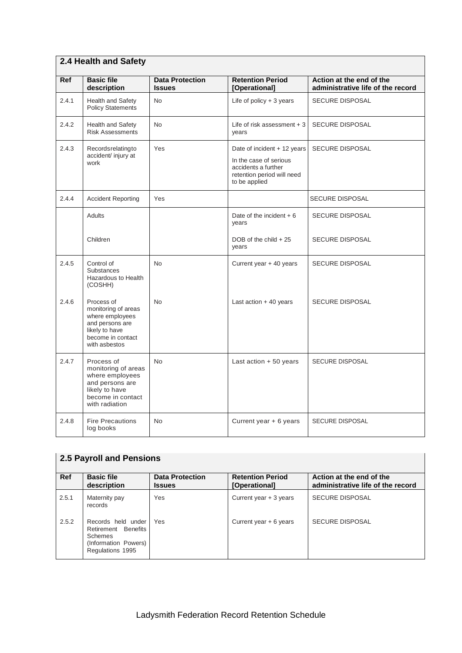|       | 2.4 Health and Safety                                                                                                            |                                         |                                                                                                                             |                                                               |  |  |
|-------|----------------------------------------------------------------------------------------------------------------------------------|-----------------------------------------|-----------------------------------------------------------------------------------------------------------------------------|---------------------------------------------------------------|--|--|
| Ref   | <b>Basic file</b><br>description                                                                                                 | <b>Data Protection</b><br><b>Issues</b> | <b>Retention Period</b><br>[Operational]                                                                                    | Action at the end of the<br>administrative life of the record |  |  |
| 2.4.1 | <b>Health and Safety</b><br><b>Policy Statements</b>                                                                             | <b>No</b>                               | Life of policy $+3$ years                                                                                                   | <b>SECURE DISPOSAL</b>                                        |  |  |
| 2.4.2 | Health and Safety<br><b>Risk Assessments</b>                                                                                     | <b>No</b>                               | Life of risk assessment $+3$<br>vears                                                                                       | <b>SECURE DISPOSAL</b>                                        |  |  |
| 2.4.3 | Recordsrelatingto<br>accident/ injury at<br>work                                                                                 | Yes                                     | Date of incident + 12 years<br>In the case of serious<br>accidents a further<br>retention period will need<br>to be applied | <b>SECURE DISPOSAL</b>                                        |  |  |
| 2.4.4 | <b>Accident Reporting</b>                                                                                                        | Yes                                     |                                                                                                                             | <b>SECURE DISPOSAL</b>                                        |  |  |
|       | <b>Adults</b>                                                                                                                    |                                         | Date of the incident $+6$<br>vears                                                                                          | <b>SECURE DISPOSAL</b>                                        |  |  |
|       | Children                                                                                                                         |                                         | DOB of the child $+25$<br>years                                                                                             | <b>SECURE DISPOSAL</b>                                        |  |  |
| 2.4.5 | Control of<br><b>Substances</b><br>Hazardous to Health<br>(COSHH)                                                                | <b>No</b>                               | Current year + 40 years                                                                                                     | <b>SECURE DISPOSAL</b>                                        |  |  |
| 2.4.6 | Process of<br>monitoring of areas<br>where employees<br>and persons are<br>likely to have<br>become in contact<br>with asbestos  | <b>No</b>                               | Last action $+40$ years                                                                                                     | <b>SECURE DISPOSAL</b>                                        |  |  |
| 2.4.7 | Process of<br>monitoring of areas<br>where employees<br>and persons are<br>likely to have<br>become in contact<br>with radiation | <b>No</b>                               | Last action + 50 years                                                                                                      | <b>SECURE DISPOSAL</b>                                        |  |  |
| 2.4.8 | <b>Fire Precautions</b><br>log books                                                                                             | No                                      | Current year + 6 years                                                                                                      | SECURE DISPOSAL                                               |  |  |

|       | <b>2.5 Payroll and Pensions</b>                                                                         |                                         |                                          |                                                               |  |
|-------|---------------------------------------------------------------------------------------------------------|-----------------------------------------|------------------------------------------|---------------------------------------------------------------|--|
| Ref   | <b>Basic file</b><br>description                                                                        | <b>Data Protection</b><br><b>Issues</b> | <b>Retention Period</b><br>[Operational] | Action at the end of the<br>administrative life of the record |  |
| 2.5.1 | Maternity pay<br>records                                                                                | Yes                                     | Current year $+3$ years                  | <b>SECURE DISPOSAL</b>                                        |  |
| 2.5.2 | Records held under<br>Retirement Benefits<br><b>Schemes</b><br>(Information Powers)<br>Regulations 1995 | Yes                                     | Current year + 6 years                   | <b>SECURE DISPOSAL</b>                                        |  |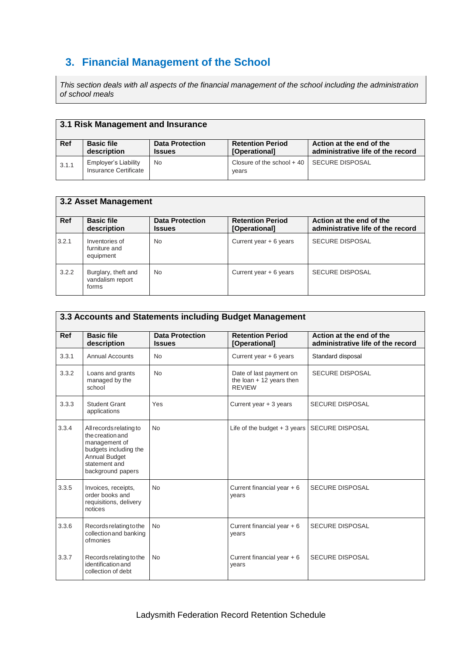# **3. Financial Management of the School**

*This section deals with all aspects of the financial management of the school including the administration of school meals*

| 3.1 Risk Management and Insurance |                                               |                                         |                                          |                                                               |
|-----------------------------------|-----------------------------------------------|-----------------------------------------|------------------------------------------|---------------------------------------------------------------|
| <b>Ref</b>                        | <b>Basic file</b><br>description              | <b>Data Protection</b><br><b>Issues</b> | <b>Retention Period</b><br>[Operational] | Action at the end of the<br>administrative life of the record |
| 3.1.1                             | Employer's Liability<br>Insurance Certificate | No                                      | Closure of the school $+$ 40<br>years    | SECURE DISPOSAL                                               |

|       | <b>3.2 Asset Management</b>                      |                                         |                                          |                                                               |  |
|-------|--------------------------------------------------|-----------------------------------------|------------------------------------------|---------------------------------------------------------------|--|
| Ref   | <b>Basic file</b><br>description                 | <b>Data Protection</b><br><b>Issues</b> | <b>Retention Period</b><br>[Operational] | Action at the end of the<br>administrative life of the record |  |
| 3.2.1 | Inventories of<br>furniture and<br>equipment     | <b>No</b>                               | Current year $+ 6$ years                 | <b>SECURE DISPOSAL</b>                                        |  |
| 3.2.2 | Burglary, theft and<br>vandalism report<br>forms | <b>No</b>                               | Current year $+ 6$ years                 | <b>SECURE DISPOSAL</b>                                        |  |

|            | 3.3 Accounts and Statements including Budget Management                                                                                      |                                         |                                                                       |                                                               |  |
|------------|----------------------------------------------------------------------------------------------------------------------------------------------|-----------------------------------------|-----------------------------------------------------------------------|---------------------------------------------------------------|--|
| <b>Ref</b> | <b>Basic file</b><br>description                                                                                                             | <b>Data Protection</b><br><b>Issues</b> | <b>Retention Period</b><br>[Operational]                              | Action at the end of the<br>administrative life of the record |  |
| 3.3.1      | <b>Annual Accounts</b>                                                                                                                       | <b>No</b>                               | Current year $+ 6$ years                                              | Standard disposal                                             |  |
| 3.3.2      | Loans and grants<br>managed by the<br>school                                                                                                 | <b>No</b>                               | Date of last payment on<br>the loan $+12$ years then<br><b>REVIEW</b> | <b>SECURE DISPOSAL</b>                                        |  |
| 3.3.3      | <b>Student Grant</b><br>applications                                                                                                         | Yes                                     | Current year + 3 years                                                | <b>SECURE DISPOSAL</b>                                        |  |
| 3.3.4      | All records relating to<br>the creation and<br>management of<br>budgets including the<br>Annual Budget<br>statement and<br>background papers | <b>No</b>                               | Life of the budget $+3$ years                                         | <b>SECURE DISPOSAL</b>                                        |  |
| 3.3.5      | Invoices, receipts,<br>order books and<br>requisitions, delivery<br>notices                                                                  | <b>No</b>                               | Current financial year $+6$<br>years                                  | <b>SECURE DISPOSAL</b>                                        |  |
| 3.3.6      | Records relating to the<br>collection and banking<br>ofmonies                                                                                | <b>No</b>                               | Current financial year $+6$<br>years                                  | <b>SECURE DISPOSAL</b>                                        |  |
| 3.3.7      | Records relating to the<br>identification and<br>collection of debt                                                                          | <b>No</b>                               | Current financial year $+6$<br>years                                  | <b>SECURE DISPOSAL</b>                                        |  |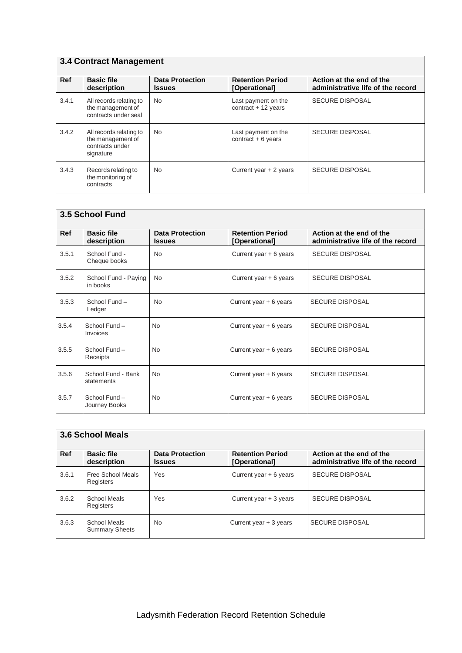| <b>3.4 Contract Management</b> |                                                                              |                                         |                                             |                                                               |
|--------------------------------|------------------------------------------------------------------------------|-----------------------------------------|---------------------------------------------|---------------------------------------------------------------|
| Ref                            | <b>Basic file</b><br>description                                             | <b>Data Protection</b><br><b>Issues</b> | <b>Retention Period</b><br>[Operational]    | Action at the end of the<br>administrative life of the record |
| 3.4.1                          | All records relating to<br>the management of<br>contracts under seal         | <b>No</b>                               | Last payment on the<br>contract $+12$ years | <b>SECURE DISPOSAL</b>                                        |
| 3.4.2                          | All records relating to<br>the management of<br>contracts under<br>signature | <b>No</b>                               | Last payment on the<br>contract $+6$ years  | <b>SECURE DISPOSAL</b>                                        |
| 3.4.3                          | Records relating to<br>the monitoring of<br>contracts                        | No.                                     | Current year $+2$ years                     | <b>SECURE DISPOSAL</b>                                        |

|            | 3.5 School Fund                  |                                         |                                          |                                                               |  |  |
|------------|----------------------------------|-----------------------------------------|------------------------------------------|---------------------------------------------------------------|--|--|
| <b>Ref</b> | <b>Basic file</b><br>description | <b>Data Protection</b><br><b>Issues</b> | <b>Retention Period</b><br>[Operational] | Action at the end of the<br>administrative life of the record |  |  |
| 3.5.1      | School Fund -<br>Cheque books    | <b>No</b>                               | Current year $+ 6$ years                 | <b>SECURE DISPOSAL</b>                                        |  |  |
| 3.5.2      | School Fund - Paying<br>in books | <b>No</b>                               | Current year $+6$ years                  | <b>SECURE DISPOSAL</b>                                        |  |  |
| 3.5.3      | School Fund -<br>Ledger          | <b>No</b>                               | Current year $+ 6$ years                 | <b>SECURE DISPOSAL</b>                                        |  |  |
| 3.5.4      | School Fund -<br>Invoices        | <b>No</b>                               | Current year $+ 6$ years                 | <b>SECURE DISPOSAL</b>                                        |  |  |
| 3.5.5      | School Fund -<br>Receipts        | <b>No</b>                               | Current year $+ 6$ years                 | <b>SECURE DISPOSAL</b>                                        |  |  |
| 3.5.6      | School Fund - Bank<br>statements | <b>No</b>                               | Current year $+ 6$ years                 | <b>SECURE DISPOSAL</b>                                        |  |  |
| 3.5.7      | School Fund-<br>Journey Books    | <b>No</b>                               | Current year $+ 6$ years                 | <b>SECURE DISPOSAL</b>                                        |  |  |

# **3.6 School Meals**

| Ref   | <b>Basic file</b><br>description      | <b>Data Protection</b><br><b>Issues</b> | <b>Retention Period</b><br>[Operational] | Action at the end of the<br>administrative life of the record |
|-------|---------------------------------------|-----------------------------------------|------------------------------------------|---------------------------------------------------------------|
| 3.6.1 | Free School Meals<br>Registers        | Yes                                     | Current year $+ 6$ years                 | <b>SECURE DISPOSAL</b>                                        |
| 3.6.2 | School Meals<br>Registers             | Yes                                     | Current year $+3$ years                  | <b>SECURE DISPOSAL</b>                                        |
| 3.6.3 | School Meals<br><b>Summary Sheets</b> | <b>No</b>                               | Current year $+3$ years                  | <b>SECURE DISPOSAL</b>                                        |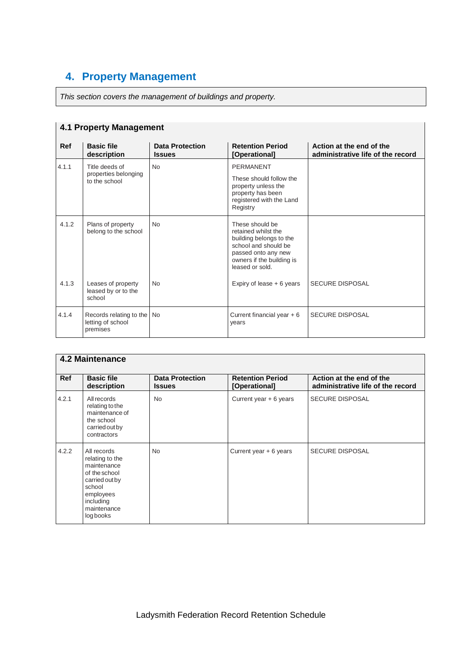# **4. Property Management**

*This section covers the management of buildings and property.*

| <b>4.1 Property Management</b> |                                                             |                                         |                                                                                                                                                                  |                                                               |
|--------------------------------|-------------------------------------------------------------|-----------------------------------------|------------------------------------------------------------------------------------------------------------------------------------------------------------------|---------------------------------------------------------------|
| <b>Ref</b>                     | <b>Basic file</b><br>description                            | <b>Data Protection</b><br><b>Issues</b> | <b>Retention Period</b><br>[Operational]                                                                                                                         | Action at the end of the<br>administrative life of the record |
| 4.1.1                          | Title deeds of<br>properties belonging<br>to the school     | <b>No</b>                               | <b>PERMANENT</b><br>These should follow the<br>property unless the<br>property has been<br>registered with the Land<br>Registry                                  |                                                               |
| 4.1.2                          | Plans of property<br>belong to the school                   | <b>No</b>                               | These should be<br>retained whilst the<br>building belongs to the<br>school and should be<br>passed onto any new<br>owners if the building is<br>leased or sold. |                                                               |
| 4.1.3                          | Leases of property<br>leased by or to the<br>school         | <b>No</b>                               | Expiry of lease $+6$ years                                                                                                                                       | <b>SECURE DISPOSAL</b>                                        |
| 4.1.4                          | Records relating to the No<br>letting of school<br>premises |                                         | Current financial year $+6$<br>years                                                                                                                             | <b>SECURE DISPOSAL</b>                                        |

| 4.2 Maintenance |                                                                                                                                                  |                                         |                                          |                                                               |
|-----------------|--------------------------------------------------------------------------------------------------------------------------------------------------|-----------------------------------------|------------------------------------------|---------------------------------------------------------------|
| <b>Ref</b>      | <b>Basic file</b><br>description                                                                                                                 | <b>Data Protection</b><br><b>Issues</b> | <b>Retention Period</b><br>[Operational] | Action at the end of the<br>administrative life of the record |
| 4.2.1           | All records<br>relating to the<br>maintenance of<br>the school<br>carried out by<br>contractors                                                  | <b>No</b>                               | Current year $+ 6$ years                 | <b>SECURE DISPOSAL</b>                                        |
| 4.2.2           | All records<br>relating to the<br>maintenance<br>of the school<br>carried out by<br>school<br>employees<br>including<br>maintenance<br>log books | <b>No</b>                               | Current year $+ 6$ years                 | <b>SECURE DISPOSAL</b>                                        |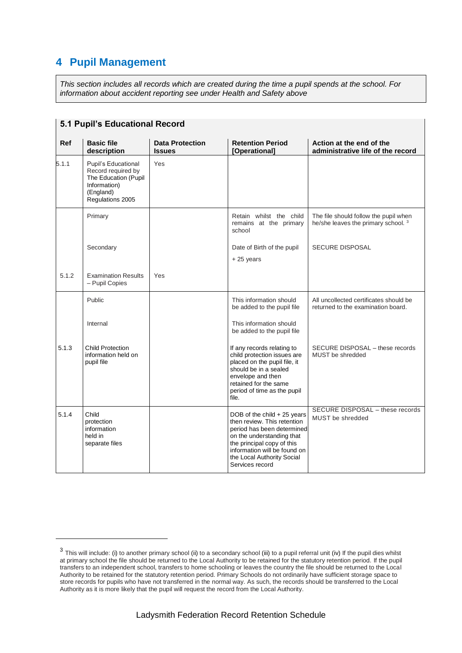## **4 Pupil Management**

-

*This section includes all records which are created during the time a pupil spends at the school. For information about accident reporting see under Health and Safety above*

|       | <b>5.1 Pupil's Educational Record</b>                                                                              |                                         |                                                                                                                                                                                                                                      |                                                                                         |  |
|-------|--------------------------------------------------------------------------------------------------------------------|-----------------------------------------|--------------------------------------------------------------------------------------------------------------------------------------------------------------------------------------------------------------------------------------|-----------------------------------------------------------------------------------------|--|
| Ref   | <b>Basic file</b><br>description                                                                                   | <b>Data Protection</b><br><b>Issues</b> | <b>Retention Period</b><br>[Operational]                                                                                                                                                                                             | Action at the end of the<br>administrative life of the record                           |  |
| 5.1.1 | Pupil's Educational<br>Record required by<br>The Education (Pupil<br>Information)<br>(England)<br>Regulations 2005 | Yes                                     |                                                                                                                                                                                                                                      |                                                                                         |  |
|       | Primary                                                                                                            |                                         | Retain whilst the child<br>remains at the primary<br>school                                                                                                                                                                          | The file should follow the pupil when<br>he/she leaves the primary school. <sup>3</sup> |  |
|       | Secondary                                                                                                          |                                         | Date of Birth of the pupil<br>$+25$ years                                                                                                                                                                                            | <b>SECURE DISPOSAL</b>                                                                  |  |
| 5.1.2 | <b>Examination Results</b><br>- Pupil Copies                                                                       | Yes                                     |                                                                                                                                                                                                                                      |                                                                                         |  |
|       | Public                                                                                                             |                                         | This information should<br>be added to the pupil file                                                                                                                                                                                | All uncollected certificates should be<br>returned to the examination board.            |  |
|       | Internal                                                                                                           |                                         | This information should<br>be added to the pupil file                                                                                                                                                                                |                                                                                         |  |
| 5.1.3 | <b>Child Protection</b><br>information held on<br>pupil file                                                       |                                         | If any records relating to<br>child protection issues are<br>placed on the pupil file, it<br>should be in a sealed<br>envelope and then<br>retained for the same<br>period of time as the pupil<br>file.                             | SECURE DISPOSAL - these records<br>MUST be shredded                                     |  |
| 5.1.4 | Child<br>protection<br>information<br>held in<br>separate files                                                    |                                         | DOB of the child + 25 years<br>then review. This retention<br>period has been determined<br>on the understanding that<br>the principal copy of this<br>information will be found on<br>the Local Authority Social<br>Services record | SECURE DISPOSAL - these records<br>MUST be shredded                                     |  |

 $^3$  This will include: (i) to another primary school (ii) to a secondary school (iii) to a pupil referral unit (iv) If the pupil dies whilst at primary school the file should be returned to the Local Authority to be retained for the statutory retention period. If the pupil transfers to an independent school, transfers to home schooling or leaves the country the file should be returned to the Local Authority to be retained for the statutory retention period. Primary Schools do not ordinarily have sufficient storage space to store records for pupils who have not transferred in the normal way. As such, the records should be transferred to the Local Authority as it is more likely that the pupil will request the record from the Local Authority.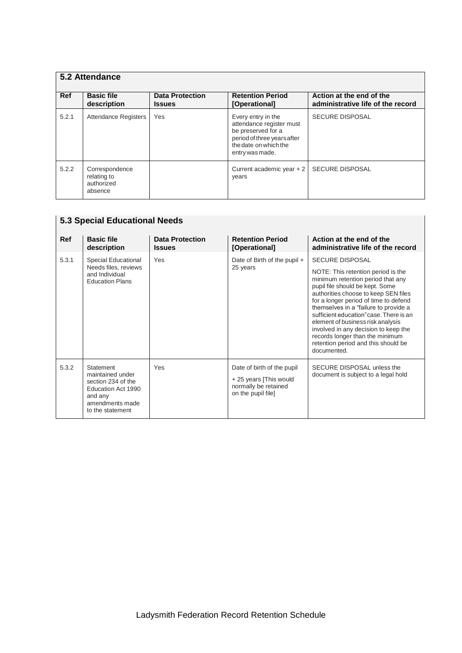|            | 5.2 Attendance                                         |                                         |                                                                                                                                                 |                                                               |  |  |
|------------|--------------------------------------------------------|-----------------------------------------|-------------------------------------------------------------------------------------------------------------------------------------------------|---------------------------------------------------------------|--|--|
| <b>Ref</b> | <b>Basic file</b><br>description                       | <b>Data Protection</b><br><b>Issues</b> | <b>Retention Period</b><br>[Operational]                                                                                                        | Action at the end of the<br>administrative life of the record |  |  |
| 5.2.1      | <b>Attendance Registers</b>                            | Yes                                     | Every entry in the<br>attendance register must<br>be preserved for a<br>period of three years after<br>the date on which the<br>entry was made. | <b>SECURE DISPOSAL</b>                                        |  |  |
| 5.2.2      | Correspondence<br>relating to<br>authorized<br>absence |                                         | Current academic year $+2$<br>years                                                                                                             | <b>SECURE DISPOSAL</b>                                        |  |  |

| <b>5.3 Special Educational Needs</b> |                                                                                                                                    |                                         |                                                                                                    |                                                                                                                                                                                                                                                                                                                                                                                                                                                                                 |
|--------------------------------------|------------------------------------------------------------------------------------------------------------------------------------|-----------------------------------------|----------------------------------------------------------------------------------------------------|---------------------------------------------------------------------------------------------------------------------------------------------------------------------------------------------------------------------------------------------------------------------------------------------------------------------------------------------------------------------------------------------------------------------------------------------------------------------------------|
| <b>Ref</b>                           | <b>Basic file</b><br>description                                                                                                   | <b>Data Protection</b><br><b>Issues</b> | <b>Retention Period</b><br>[Operational]                                                           | Action at the end of the<br>administrative life of the record                                                                                                                                                                                                                                                                                                                                                                                                                   |
| 5.3.1                                | Special Educational<br>Needs files, reviews<br>and Individual<br><b>Education Plans</b>                                            | Yes                                     | Date of Birth of the pupil +<br>25 years                                                           | <b>SECURE DISPOSAL</b><br>NOTE: This retention period is the<br>minimum retention period that any<br>pupil file should be kept. Some<br>authorities choose to keep SEN files<br>for a longer period of time to defend<br>themselves in a "failure to provide a<br>sufficient education" case. There is an<br>element of business risk analysis<br>involved in any decision to keep the<br>records longer than the minimum<br>retention period and this should be<br>documented. |
| 5.3.2                                | <b>Statement</b><br>maintained under<br>section 234 of the<br>Education Act 1990<br>and any<br>amendments made<br>to the statement | Yes                                     | Date of birth of the pupil<br>+ 25 years [This would<br>normally be retained<br>on the pupil file] | SECURE DISPOSAL unless the<br>document is subject to a legal hold                                                                                                                                                                                                                                                                                                                                                                                                               |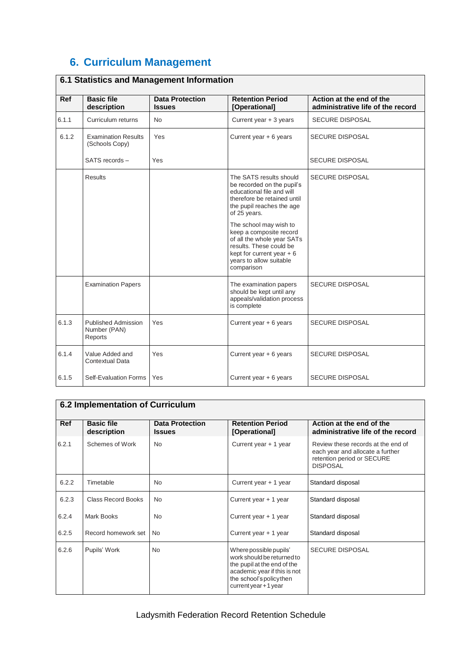# **6. Curriculum Management**

| <b>Ref</b> | <b>Basic file</b><br>description               | <b>Data Protection</b><br><b>Issues</b> | <b>Retention Period</b><br>[Operational]                                                                                                                                          | Action at the end of the<br>administrative life of the record |
|------------|------------------------------------------------|-----------------------------------------|-----------------------------------------------------------------------------------------------------------------------------------------------------------------------------------|---------------------------------------------------------------|
| 6.1.1      | Curriculum returns                             | <b>No</b>                               | Current year + 3 years                                                                                                                                                            | <b>SECURE DISPOSAL</b>                                        |
| 6.1.2      | <b>Examination Results</b><br>(Schools Copy)   | Yes                                     | Current year $+ 6$ years                                                                                                                                                          | <b>SECURE DISPOSAL</b>                                        |
|            | SATS records -                                 | Yes                                     |                                                                                                                                                                                   | <b>SECURE DISPOSAL</b>                                        |
|            | Results                                        |                                         | The SATS results should<br>be recorded on the pupil's<br>educational file and will<br>therefore be retained until<br>the pupil reaches the age<br>of 25 years.                    | <b>SECURE DISPOSAL</b>                                        |
|            |                                                |                                         | The school may wish to<br>keep a composite record<br>of all the whole year SATs<br>results. These could be<br>kept for current year $+6$<br>years to allow suitable<br>comparison |                                                               |
|            | <b>Examination Papers</b>                      |                                         | The examination papers<br>should be kept until any<br>appeals/validation process<br>is complete                                                                                   | <b>SECURE DISPOSAL</b>                                        |
| 6.1.3      | Published Admission<br>Number (PAN)<br>Reports | Yes                                     | Current year $+ 6$ years                                                                                                                                                          | <b>SECURE DISPOSAL</b>                                        |
| 6.1.4      | Value Added and<br>Contextual Data             | Yes                                     | Current year $+ 6$ years                                                                                                                                                          | <b>SECURE DISPOSAL</b>                                        |
| 6.1.5      | Self-Evaluation Forms                          | Yes                                     | Current year $+ 6$ years                                                                                                                                                          | <b>SECURE DISPOSAL</b>                                        |

### **6.1 Statistics and Management Information**

|            | 6.2 Implementation of Curriculum |                                         |                                                                                                                                                                           |                                                                                                                         |  |
|------------|----------------------------------|-----------------------------------------|---------------------------------------------------------------------------------------------------------------------------------------------------------------------------|-------------------------------------------------------------------------------------------------------------------------|--|
| <b>Ref</b> | <b>Basic file</b><br>description | <b>Data Protection</b><br><b>Issues</b> | <b>Retention Period</b><br>[Operational]                                                                                                                                  | Action at the end of the<br>administrative life of the record                                                           |  |
| 6.2.1      | Schemes of Work                  | <b>No</b>                               | Current year + 1 year                                                                                                                                                     | Review these records at the end of<br>each year and allocate a further<br>retention period or SECURE<br><b>DISPOSAL</b> |  |
| 6.2.2      | Timetable                        | No                                      | Current year + 1 year                                                                                                                                                     | Standard disposal                                                                                                       |  |
| 6.2.3      | <b>Class Record Books</b>        | <b>No</b>                               | Current year + 1 year                                                                                                                                                     | Standard disposal                                                                                                       |  |
| 6.2.4      | Mark Books                       | <b>No</b>                               | Current year + 1 year                                                                                                                                                     | Standard disposal                                                                                                       |  |
| 6.2.5      | Record homework set              | No.                                     | Current year + 1 year                                                                                                                                                     | Standard disposal                                                                                                       |  |
| 6.2.6      | Pupils' Work                     | <b>No</b>                               | Where possible pupils'<br>work should be returned to<br>the pupil at the end of the<br>academic year if this is not<br>the school's policy then<br>current year $+1$ year | <b>SECURE DISPOSAL</b>                                                                                                  |  |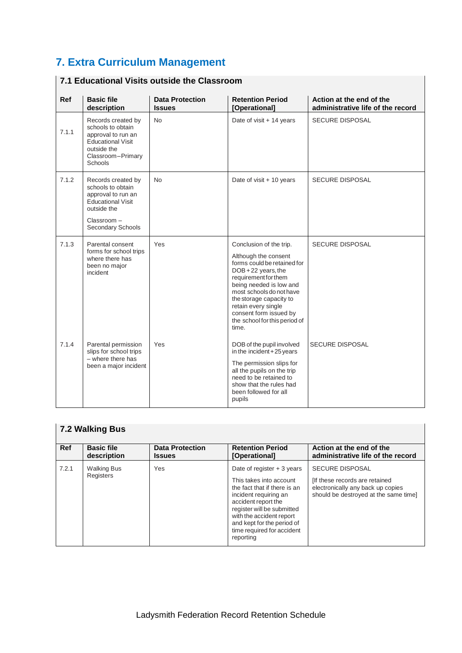# **7. Extra Curriculum Management**

| <b>Ref</b> | <b>Basic file</b><br>description                                                                                                            | <b>Data Protection</b><br><b>Issues</b> | <b>Retention Period</b><br>[Operational]                                                                                                                                                                                                                                                                 | Action at the end of the<br>administrative life of the record |
|------------|---------------------------------------------------------------------------------------------------------------------------------------------|-----------------------------------------|----------------------------------------------------------------------------------------------------------------------------------------------------------------------------------------------------------------------------------------------------------------------------------------------------------|---------------------------------------------------------------|
| 7.1.1      | Records created by<br>schools to obtain<br>approval to run an<br><b>Educational Visit</b><br>outside the<br>Classroom-Primary<br>Schools    | <b>No</b>                               | Date of visit + 14 years                                                                                                                                                                                                                                                                                 | <b>SECURE DISPOSAL</b>                                        |
| 7.1.2      | Records created by<br>schools to obtain<br>approval to run an<br><b>Educational Visit</b><br>outside the<br>Classroom-<br>Secondary Schools | <b>No</b>                               | Date of visit + 10 years                                                                                                                                                                                                                                                                                 | <b>SECURE DISPOSAL</b>                                        |
| 7.1.3      | Parental consent<br>forms for school trips<br>where there has<br>been no major<br>incident                                                  | Yes                                     | Conclusion of the trip.<br>Although the consent<br>forms could be retained for<br>DOB+22 years, the<br>requirement for them<br>being needed is low and<br>most schools do not have<br>the storage capacity to<br>retain every single<br>consent form issued by<br>the school for this period of<br>time. | <b>SECURE DISPOSAL</b>                                        |
| 7.1.4      | Parental permission<br>slips for school trips<br>$-$ where there has<br>been a major incident                                               | Yes                                     | DOB of the pupil involved<br>in the incident $+25$ years<br>The permission slips for<br>all the pupils on the trip<br>need to be retained to<br>show that the rules had<br>been followed for all<br>pupils                                                                                               | <b>SECURE DISPOSAL</b>                                        |

#### **7.1 Educational Visits outside the Classroom**

#### **7.2 Walking Bus**

| Ref   | <b>Basic file</b>               | <b>Data Protection</b> | <b>Retention Period</b>                                                                                                                                                                                                                                                   | Action at the end of the                                                                                                               |
|-------|---------------------------------|------------------------|---------------------------------------------------------------------------------------------------------------------------------------------------------------------------------------------------------------------------------------------------------------------------|----------------------------------------------------------------------------------------------------------------------------------------|
|       | description                     | <b>Issues</b>          | [Operational]                                                                                                                                                                                                                                                             | administrative life of the record                                                                                                      |
| 7.2.1 | <b>Walking Bus</b><br>Registers | Yes                    | Date of register $+3$ years<br>This takes into account<br>the fact that if there is an<br>incident requiring an<br>accident report the<br>register will be submitted<br>with the accident report<br>and kept for the period of<br>time required for accident<br>reporting | <b>SECURE DISPOSAL</b><br>[If these records are retained<br>electronically any back up copies<br>should be destroyed at the same time] |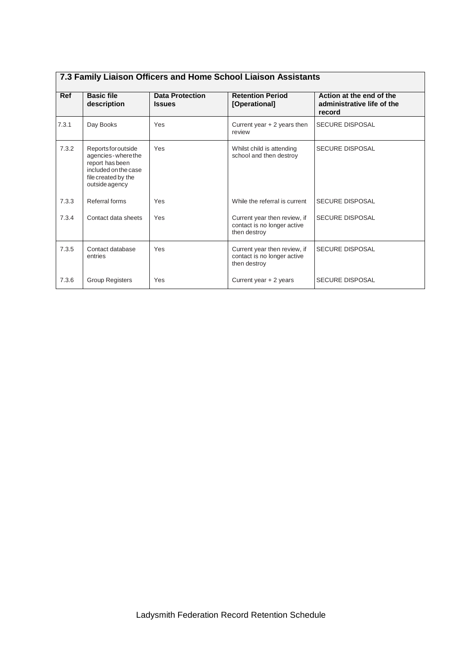| <b>Ref</b> | <b>Basic file</b><br>description                                                                                                | <b>Data Protection</b><br><b>Issues</b> | <b>Retention Period</b><br>[Operational]                                    | Action at the end of the<br>administrative life of the<br>record |
|------------|---------------------------------------------------------------------------------------------------------------------------------|-----------------------------------------|-----------------------------------------------------------------------------|------------------------------------------------------------------|
| 7.3.1      | Day Books                                                                                                                       | Yes                                     | Current year $+2$ years then<br>review                                      | <b>SECURE DISPOSAL</b>                                           |
| 7.3.2      | Reports for outside<br>agencies - where the<br>report has been<br>included on the case<br>file created by the<br>outside agency | Yes                                     | Whilst child is attending<br>school and then destroy                        | <b>SECURE DISPOSAL</b>                                           |
| 7.3.3      | Referral forms                                                                                                                  | Yes                                     | While the referral is current                                               | <b>SECURE DISPOSAL</b>                                           |
| 7.3.4      | Contact data sheets                                                                                                             | Yes                                     | Current year then review, if<br>contact is no longer active<br>then destroy | <b>SECURE DISPOSAL</b>                                           |
| 7.3.5      | Contact database<br>entries                                                                                                     | Yes                                     | Current year then review, if<br>contact is no longer active<br>then destroy | <b>SECURE DISPOSAL</b>                                           |
| 7.3.6      | <b>Group Registers</b>                                                                                                          | Yes                                     | Current year + 2 years                                                      | <b>SECURE DISPOSAL</b>                                           |